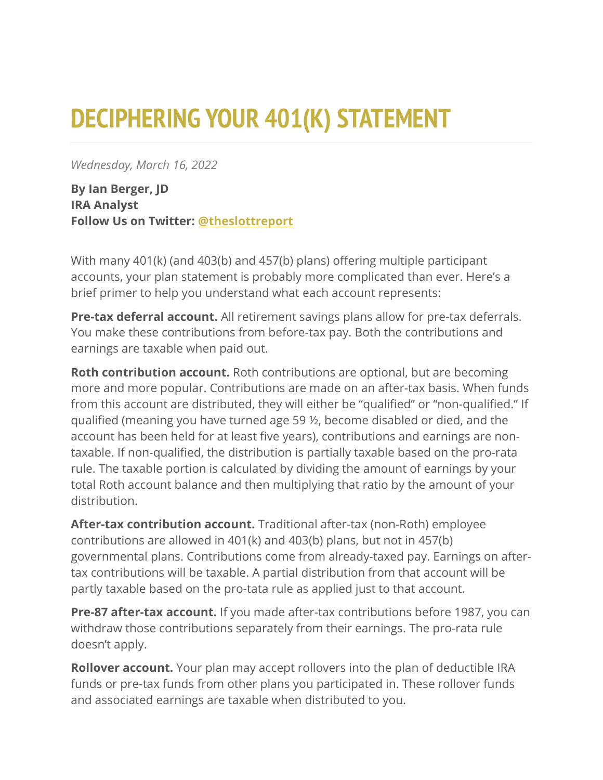## **DECIPHERING YOUR 401(K) STATEMENT**

*Wednesday, March 16, 2022*

**By Ian Berger, JD IRA Analyst Follow Us on Twitter: [@theslottreport](https://twitter.com/theslottreport)**

With many 401(k) (and 403(b) and 457(b) plans) offering multiple participant accounts, your plan statement is probably more complicated than ever. Here's a brief primer to help you understand what each account represents:

**Pre-tax deferral account.** All retirement savings plans allow for pre-tax deferrals. You make these contributions from before-tax pay. Both the contributions and earnings are taxable when paid out.

**Roth contribution account.** Roth contributions are optional, but are becoming more and more popular. Contributions are made on an after-tax basis. When funds from this account are distributed, they will either be "qualified" or "non-qualified." If qualified (meaning you have turned age 59 ½, become disabled or died, and the account has been held for at least five years), contributions and earnings are nontaxable. If non-qualified, the distribution is partially taxable based on the pro-rata rule. The taxable portion is calculated by dividing the amount of earnings by your total Roth account balance and then multiplying that ratio by the amount of your distribution.

**After-tax contribution account.** Traditional after-tax (non-Roth) employee contributions are allowed in 401(k) and 403(b) plans, but not in 457(b) governmental plans. Contributions come from already-taxed pay. Earnings on aftertax contributions will be taxable. A partial distribution from that account will be partly taxable based on the pro-tata rule as applied just to that account.

**Pre-87 after-tax account.** If you made after-tax contributions before 1987, you can withdraw those contributions separately from their earnings. The pro-rata rule doesn't apply.

**Rollover account.** Your plan may accept rollovers into the plan of deductible IRA funds or pre-tax funds from other plans you participated in. These rollover funds and associated earnings are taxable when distributed to you.